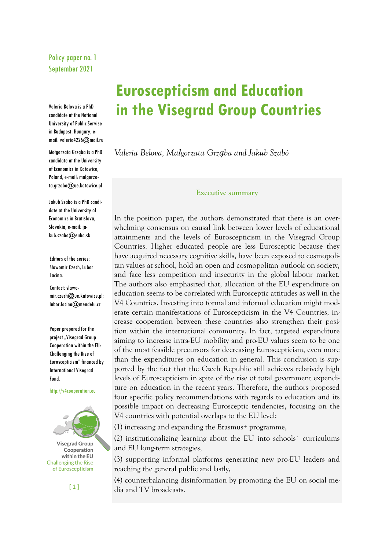# Policy paper no. 1 September 2021

Valeria Belova is a PhD candidate at the National University of Public Servise in Budapest, Hungary, email: valeria4226@mail.ru

Małgorzata Grząba is a PhD candidate at the University of Economics in Katowice, Poland, e-mail: malgorzata.grzaba@ue.katowice.pl

Jakub Szabo is a PhD candidate at the University of Economics in Bratislava, Slovakia, e-mail: jakub.szabo@euba.sk

Editors of the series: Sławomir Czech, Lubor Lacina.

Contact: slawomir.czech@ue.katowice.pl; lubor.lacina@mendelu.cz

Paper prepared for the project "Visegrad Group Cooperation within the EU: Challenging the Rise of Euroscepticism" financed by International Visegrad Fund.

http://v4cooperation.eu



 $[1]$ 

# **Euroscepticism and Education in the Visegrad Group Countries**

*Valeria Belova, Małgorzata Grząba and Jakub Szabó*

#### **Executive summary**

In the position paper, the authors demonstrated that there is an overwhelming consensus on causal link between lower levels of educational attainments and the levels of Euroscepticism in the Visegrad Group Countries. Higher educated people are less Eurosceptic because they have acquired necessary cognitive skills, have been exposed to cosmopolitan values at school, hold an open and cosmopolitan outlook on society, and face less competition and insecurity in the global labour market. The authors also emphasized that, allocation of the EU expenditure on education seems to be correlated with Eurosceptic attitudes as well in the V4 Countries. Investing into formal and informal education might moderate certain manifestations of Euroscepticism in the V4 Countries, increase cooperation between these countries also strengthen their position within the international community. In fact, targeted expenditure aiming to increase intra-EU mobility and pro-EU values seem to be one of the most feasible precursors for decreasing Euroscepticism, even more than the expenditures on education in general. This conclusion is supported by the fact that the Czech Republic still achieves relatively high levels of Euroscepticism in spite of the rise of total government expenditure on education in the recent years. Therefore, the authors proposed four specific policy recommendations with regards to education and its possible impact on decreasing Eurosceptic tendencies, focusing on the V4 countries with potential overlaps to the EU level:

(1) increasing and expanding the Erasmus+ programme,

(2) institutionalizing learning about the EU into schools´ curriculums and EU long-term strategies,

(3) supporting informal platforms generating new pro-EU leaders and reaching the general public and lastly,

(4) counterbalancing disinformation by promoting the EU on social media and TV broadcasts.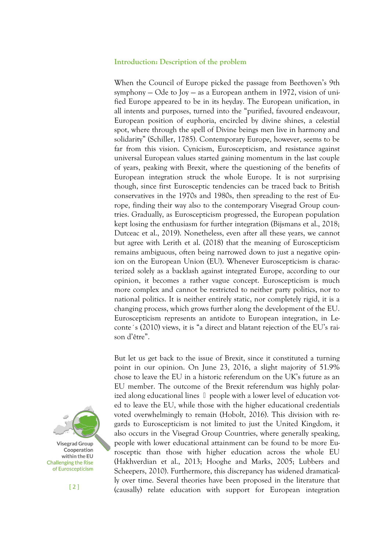#### **Introduction: Description of the problem**

When the Council of Europe picked the passage from Beethoven's 9th symphony — Ode to Joy — as a European anthem in 1972, vision of unified Europe appeared to be in its heyday. The European unification, in all intents and purposes, turned into the "purified, favoured endeavour, European position of euphoria, encircled by divine shines, a celestial spot, where through the spell of Divine beings men live in harmony and solidarity" (Schiller, 1785). Contemporary Europe, however, seems to be far from this vision. Cynicism, Euroscepticism, and resistance against universal European values started gaining momentum in the last couple of years, peaking with Brexit, where the questioning of the benefits of European integration struck the whole Europe. It is not surprising though, since first Eurosceptic tendencies can be traced back to British conservatives in the 1970s and 1980s, then spreading to the rest of Europe, finding their way also to the contemporary Visegrad Group countries. Gradually, as Euroscepticism progressed, the European population kept losing the enthusiasm for further integration (Bijsmans et al., 2018; Dutceac et al., 2019). Nonetheless, even after all these years, we cannot but agree with Lerith et al. (2018) that the meaning of Euroscepticism remains ambiguous, often being narrowed down to just a negative opinion on the European Union (EU). Whenever Euroscepticism is characterized solely as a backlash against integrated Europe, according to our opinion, it becomes a rather vague concept. Euroscepticism is much more complex and cannot be restricted to neither party politics, nor to national politics. It is neither entirely static, nor completely rigid, it is a changing process, which grows further along the development of the EU. Euroscepticism represents an antidote to European integration, in Leconte´s (2010) views, it is "a direct and blatant rejection of the EU's raison d'être".

But let us get back to the issue of Brexit, since it constituted a turning point in our opinion. On June 23, 2016, a slight majority of 51.9% chose to leave the EU in a historic referendum on the UK's future as an EU member. The outcome of the Brexit referendum was highly polarized along educational lines  $\mathbb I$  people with a lower level of education voted to leave the EU, while those with the higher educational credentials voted overwhelmingly to remain (Hobolt, 2016). This division with regards to Euroscepticism is not limited to just the United Kingdom, it also occurs in the Visegrad Group Countries, where generally speaking, people with lower educational attainment can be found to be more Eurosceptic than those with higher education across the whole EU (Hakhverdian et al., 2013; Hooghe and Marks, 2005; Lubbers and Scheepers, 2010). Furthermore, this discrepancy has widened dramatically over time. Several theories have been proposed in the literature that (causally) relate education with support for European integration

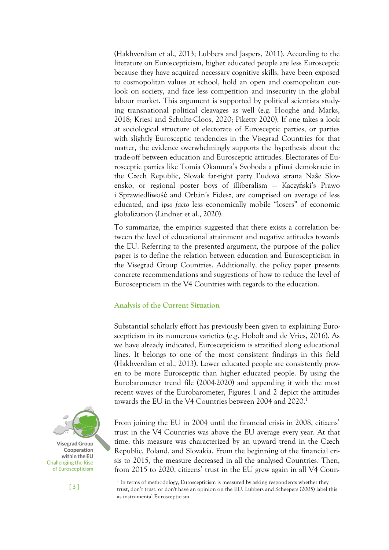(Hakhverdian et al., 2013; Lubbers and Jaspers, 2011). According to the literature on Euroscepticism, higher educated people are less Eurosceptic because they have acquired necessary cognitive skills, have been exposed to cosmopolitan values at school, hold an open and cosmopolitan outlook on society, and face less competition and insecurity in the global labour market. This argument is supported by political scientists studying transnational political cleavages as well (e.g. Hooghe and Marks, 2018; Kriesi and Schulte-Cloos, 2020; Piketty 2020). If one takes a look at sociological structure of electorate of Eurosceptic parties, or parties with slightly Eurosceptic tendencies in the Visegrad Countries for that matter, the evidence overwhelmingly supports the hypothesis about the trade-off between education and Eurosceptic attitudes. Electorates of Eurosceptic parties like Tomia Okamura's Svoboda a přímá demokracie in the Czech Republic, Slovak far-right party Ľudová strana Naše Slovensko, or regional poster boys of illiberalism — Kaczyński's Prawo i Sprawiedliwość and Orbán's Fidesz, are comprised on average of less educated, and *ipso facto* less economically mobile "losers" of economic globalization (Lindner et al., 2020).

To summarize, the empirics suggested that there exists a correlation between the level of educational attainment and negative attitudes towards the EU. Referring to the presented argument, the purpose of the policy paper is to define the relation between education and Euroscepticism in the Visegrad Group Countries. Additionally, the policy paper presents concrete recommendations and suggestions of how to reduce the level of Euroscepticism in the V4 Countries with regards to the education.

# **Analysis of the Current Situation**

Substantial scholarly effort has previously been given to explaining Euroscepticism in its numerous varieties (e.g. Hobolt and de Vries, 2016). As we have already indicated, Euroscepticism is stratified along educational lines. It belongs to one of the most consistent findings in this field (Hakhverdian et al., 2013). Lower educated people are consistently proven to be more Eurosceptic than higher educated people. By using the Eurobarometer trend file (2004-2020) and appending it with the most recent waves of the Eurobarometer, Figures 1 and 2 depict the attitudes towards the EU in the V4 Countries between 2004 and 2020.<sup>1</sup>



From joining the EU in 2004 until the financial crisis in 2008, citizens' trust in the V4 Countries was above the EU average every year. At that time, this measure was characterized by an upward trend in the Czech Republic, Poland, and Slovakia. From the beginning of the financial crisis to 2015, the measure decreased in all the analysed Countries. Then, from 2015 to 2020, citizens' trust in the EU grew again in all V4 Coun-

<sup>1</sup> In terms of methodology, Euroscepticism is measured by asking respondents whether they trust, don't trust, or don't have an opinion on the EU. Lubbers and Scheepers (2005) label this as instrumental Euroscepticism.

[ 3 ]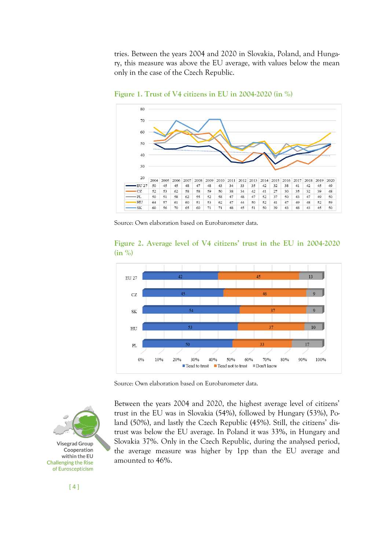tries. Between the years 2004 and 2020 in Slovakia, Poland, and Hungary, this measure was above the EU average, with values below the mean only in the case of the Czech Republic.



**Figure 1. Trust of V4 citizens in EU in 2004-2020 (in %)**

Source: Own elaboration based on Eurobarometer data.





Source: Own elaboration based on Eurobarometer data.



Between the years 2004 and 2020, the highest average level of citizens' trust in the EU was in Slovakia (54%), followed by Hungary (53%), Poland (50%), and lastly the Czech Republic (45%). Still, the citizens' distrust was below the EU average. In Poland it was 33%, in Hungary and Slovakia 37%. Only in the Czech Republic, during the analysed period, the average measure was higher by 1pp than the EU average and amounted to 46%.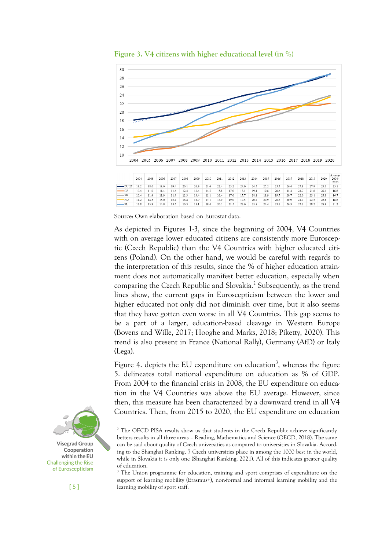

**Figure 3. V4 citizens with higher educational level (in %)**



Source: Own elaboration based on Eurostat data.

As depicted in Figures 1-3, since the beginning of 2004, V4 Countries with on average lower educated citizens are consistently more Eurosceptic (Czech Republic) than the V4 Countries with higher educated citizens (Poland). On the other hand, we would be careful with regards to the interpretation of this results, since the % of higher education attainment does not automatically manifest better education, especially when comparing the Czech Republic and Slovakia.<sup>2</sup> Subsequently, as the trend lines show, the current gaps in Euroscepticism between the lower and higher educated not only did not diminish over time, but it also seems that they have gotten even worse in all V4 Countries. This gap seems to be a part of a larger, education-based cleavage in Western Europe (Bovens and Wille, 2017; Hooghe and Marks, 2018; Piketty, 2020). This trend is also present in France (National Rally), Germany (AfD) or Italy (Lega).

Figure 4. depicts the EU expenditure on education<sup>3</sup>, whereas the figure 5. delineates total national expenditure on education as % of GDP. From 2004 to the financial crisis in 2008, the EU expenditure on education in the V4 Countries was above the EU average. However, since then, this measure has been characterized by a downward trend in all V4 Countries. Then, from 2015 to 2020, the EU expenditure on education

<sup>3</sup> The Union programme for education, training and sport comprises of expenditure on the support of learning mobility (Erasmus+), non-formal and informal learning mobility and the learning mobility of sport staff.



<sup>&</sup>lt;sup>2</sup> The OECD PISA results show us that students in the Czech Republic achieve significantly betters results in all three areas – Reading, Mathematics and Science (OECD, 2018). The same can be said about quality of Czech universities as compared to universities in Slovakia. According to the Shanghai Ranking, 7 Czech universities place in among the 1000 best in the world, while in Slovakia it is only one (Shanghai Ranking, 2021). All of this indicates greater quality of education.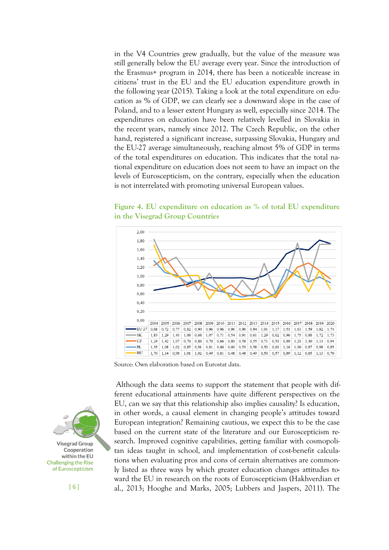in the V4 Countries grew gradually, but the value of the measure was still generally below the EU average every year. Since the introduction of the Erasmus+ program in 2014, there has been a noticeable increase in citizens' trust in the EU and the EU education expenditure growth in the following year (2015). Taking a look at the total expenditure on education as % of GDP, we can clearly see a downward slope in the case of Poland, and to a lesser extent Hungary as well, especially since 2014. The expenditures on education have been relatively levelled in Slovakia in the recent years, namely since 2012. The Czech Republic, on the other hand, registered a significant increase, surpassing Slovakia, Hungary and the EU-27 average simultaneously, reaching almost 5% of GDP in terms of the total expenditures on education. This indicates that the total national expenditure on education does not seem to have an impact on the levels of Euroscepticism, on the contrary, especially when the education is not interrelated with promoting universal European values.

**Figure 4. EU expenditure on education as % of total EU expenditure in the Visegrad Group Countries**



Source: Own elaboration based on Eurostat data.

Although the data seems to support the statement that people with different educational attainments have quite different perspectives on the EU, can we say that this relationship also implies causality? Is education, in other words, a causal element in changing people's attitudes toward European integration? Remaining cautious, we expect this to be the case based on the current state of the literature and our Euroscepticism research. Improved cognitive capabilities, getting familiar with cosmopolitan ideas taught in school, and implementation of cost-benefit calculations when evaluating pros and cons of certain alternatives are commonly listed as three ways by which greater education changes attitudes toward the EU in research on the roots of Euroscepticism (Hakhverdian et al., 2013; Hooghe and Marks, 2005; Lubbers and Jaspers, 2011). The

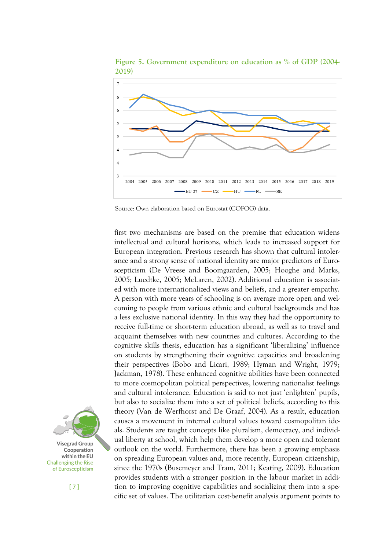

**Figure 5. Government expenditure on education as % of GDP (2004- 2019)** 

Source: Own elaboration based on Eurostat (COFOG) data.

first two mechanisms are based on the premise that education widens intellectual and cultural horizons, which leads to increased support for European integration. Previous research has shown that cultural intolerance and a strong sense of national identity are major predictors of Euroscepticism (De Vreese and Boomgaarden, 2005; Hooghe and Marks, 2005; Luedtke, 2005; McLaren, 2002). Additional education is associated with more internationalized views and beliefs, and a greater empathy. A person with more years of schooling is on average more open and welcoming to people from various ethnic and cultural backgrounds and has a less exclusive national identity. In this way they had the opportunity to receive full-time or short-term education abroad, as well as to travel and acquaint themselves with new countries and cultures. According to the cognitive skills thesis, education has a significant 'liberalizing' influence on students by strengthening their cognitive capacities and broadening their perspectives (Bobo and Licari, 1989; Hyman and Wright, 1979; Jackman, 1978). These enhanced cognitive abilities have been connected to more cosmopolitan political perspectives, lowering nationalist feelings and cultural intolerance. Education is said to not just 'enlighten' pupils, but also to socialize them into a set of political beliefs, according to this theory (Van de Werfhorst and De Graaf, 2004). As a result, education causes a movement in internal cultural values toward cosmopolitan ideals. Students are taught concepts like pluralism, democracy, and individual liberty at school, which help them develop a more open and tolerant outlook on the world. Furthermore, there has been a growing emphasis on spreading European values and, more recently, European citizenship, since the 1970s (Busemeyer and Tram, 2011; Keating, 2009). Education provides students with a stronger position in the labour market in addition to improving cognitive capabilities and socializing them into a specific set of values. The utilitarian cost-benefit analysis argument points to

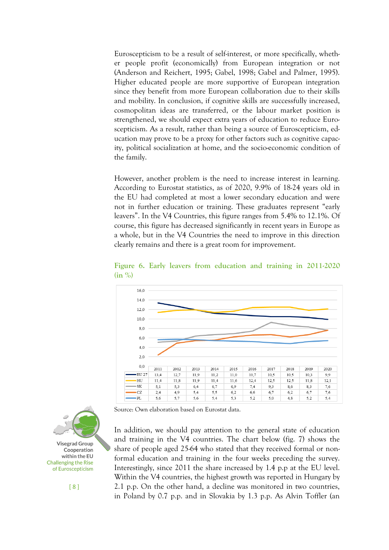Euroscepticism to be a result of self-interest, or more specifically, whether people profit (economically) from European integration or not (Anderson and Reichert, 1995; Gabel, 1998; Gabel and Palmer, 1995). Higher educated people are more supportive of European integration since they benefit from more European collaboration due to their skills and mobility. In conclusion, if cognitive skills are successfully increased, cosmopolitan ideas are transferred, or the labour market position is strengthened, we should expect extra years of education to reduce Euroscepticism. As a result, rather than being a source of Euroscepticism, education may prove to be a proxy for other factors such as cognitive capacity, political socialization at home, and the socio-economic condition of the family.

However, another problem is the need to increase interest in learning. According to Eurostat statistics, as of 2020, 9.9% of 18-24 years old in the EU had completed at most a lower secondary education and were not in further education or training. These graduates represent "early leavers". In the V4 Countries, this figure ranges from 5.4% to 12.1%. Of course, this figure has decreased significantly in recent years in Europe as a whole, but in the V4 Countries the need to improve in this direction clearly remains and there is a great room for improvement.



**Figure 6. Early leavers from education and training in 2011-2020 (in %)**

In addition, we should pay attention to the general state of education and training in the V4 countries. The chart below (fig. 7) shows the share of people aged 25-64 who stated that they received formal or nonformal education and training in the four weeks preceding the survey. Interestingly, since 2011 the share increased by 1.4 p.p at the EU level. Within the V4 countries, the highest growth was reported in Hungary by 2.1 p.p. On the other hand, a decline was monitored in two countries, in Poland by 0.7 p.p. and in Slovakia by 1.3 p.p. As Alvin Toffler (an



Source: Own elaboration based on Eurostat data.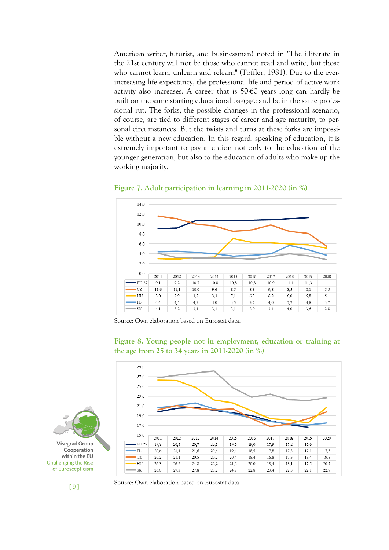American writer, [futurist,](https://en.wikipedia.org/wiki/Futurist) and businessman) noted in "The illiterate in the 21st century will not be those who cannot read and write, but those who cannot learn, unlearn and relearn" (Toffler, 1981). Due to the everincreasing life expectancy, the professional life and period of active work activity also increases. A career that is 50-60 years long can hardly be built on the same starting educational baggage and be in the same professional rut. The forks, the possible changes in the professional scenario, of course, are tied to different stages of career and age maturity, to personal circumstances. But the twists and turns at these forks are impossible without a new education. In this regard, speaking of education, it is extremely important to pay attention not only to the education of the younger generation, but also to the education of adults who make up the working majority.



**Figure 7. Adult participation in learning in 2011-2020 (in %)**

Source: Own elaboration based on Eurostat data.





[ 9 ]

Source: Own elaboration based on Eurostat data.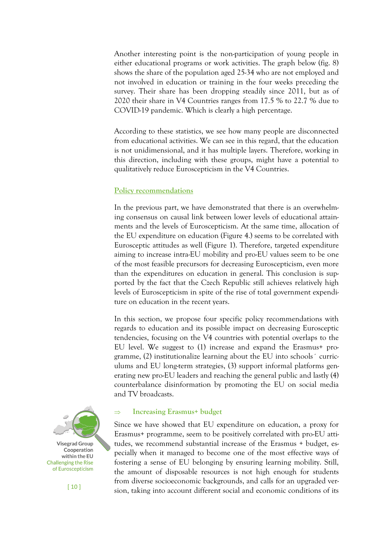Another interesting point is the non-participation of young people in either educational programs or work activities. The graph below (fig. 8) shows the share of the population aged 25-34 who are not employed and not involved in education or training in the four weeks preceding the survey. Their share has been dropping steadily since 2011, but as of 2020 their share in V4 Countries ranges from 17.5 % to 22.7 % due to COVID-19 pandemic. Which is clearly a high percentage.

According to these statistics, we see how many people are disconnected from educational activities. We can see in this regard, that the education is not unidimensional, and it has multiple layers. Therefore, working in this direction, including with these groups, might have a potential to qualitatively reduce Euroscepticism in the V4 Countries.

### **Policy recommendations**

In the previous part, we have demonstrated that there is an overwhelming consensus on causal link between lower levels of educational attainments and the levels of Euroscepticism. At the same time, allocation of the EU expenditure on education (Figure 4.) seems to be correlated with Eurosceptic attitudes as well (Figure 1). Therefore, targeted expenditure aiming to increase intra-EU mobility and pro-EU values seem to be one of the most feasible precursors for decreasing Euroscepticism, even more than the expenditures on education in general. This conclusion is supported by the fact that the Czech Republic still achieves relatively high levels of Euroscepticism in spite of the rise of total government expenditure on education in the recent years.

In this section, we propose four specific policy recommendations with regards to education and its possible impact on decreasing Eurosceptic tendencies, focusing on the V4 countries with potential overlaps to the EU level. We suggest to (1) increase and expand the Erasmus+ programme, (2) institutionalize learning about the EU into schools´ curriculums and EU long-term strategies, (3) support informal platforms generating new pro-EU leaders and reaching the general public and lastly (4) counterbalance disinformation by promoting the EU on social media and TV broadcasts.



**Increasing Erasmus+ budget**

Since we have showed that EU expenditure on education, a proxy for Erasmus+ programme, seem to be positively correlated with pro-EU attitudes, we recommend substantial increase of the Erasmus + budget, especially when it managed to become one of the most effective ways of fostering a sense of EU belonging by ensuring learning mobility. Still, the amount of disposable resources is not high enough for students from diverse socioeconomic backgrounds, and calls for an upgraded version, taking into account different social and economic conditions of its



[ 10 ]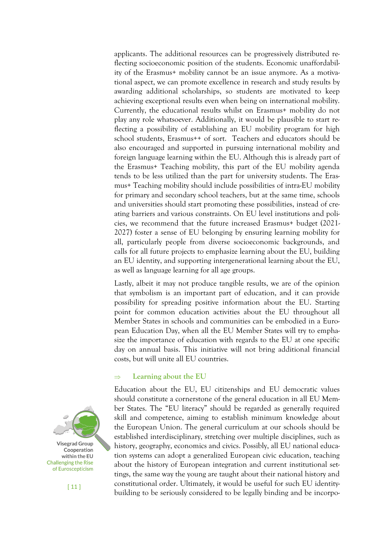applicants. The additional resources can be progressively distributed reflecting socioeconomic position of the students. Economic unaffordability of the Erasmus+ mobility cannot be an issue anymore. As a motivational aspect, we can promote excellence in research and study results by awarding additional scholarships, so students are motivated to keep achieving exceptional results even when being on international mobility. Currently, the educational results whilst on Erasmus+ mobility do not play any role whatsoever. Additionally, it would be plausible to start reflecting a possibility of establishing an EU mobility program for high school students, Erasmus<sup>++</sup> of sort. Teachers and educators should be also encouraged and supported in pursuing international mobility and foreign language learning within the EU. Although this is already part of the Erasmus+ Teaching mobility, this part of the EU mobility agenda tends to be less utilized than the part for university students. The Erasmus+ Teaching mobility should include possibilities of intra-EU mobility for primary and secondary school teachers, but at the same time, schools and universities should start promoting these possibilities, instead of creating barriers and various constraints. On EU level institutions and policies, we recommend that the future increased Erasmus+ budget (2021- 2027) foster a sense of EU belonging by ensuring learning mobility for all, particularly people from diverse socioeconomic backgrounds, and calls for all future projects to emphasize learning about the EU, building an EU identity, and supporting intergenerational learning about the EU, as well as language learning for all age groups.

Lastly, albeit it may not produce tangible results, we are of the opinion that symbolism is an important part of education, and it can provide possibility for spreading positive information about the EU. Starting point for common education activities about the EU throughout all Member States in schools and communities can be embodied in a European Education Day, when all the EU Member States will try to emphasize the importance of education with regards to the EU at one specific day on annual basis. This initiative will not bring additional financial costs, but will unite all EU countries.

#### $\Rightarrow$  Learning about the EU

Education about the EU, EU citizenships and EU democratic values should constitute a cornerstone of the general education in all EU Member States. The "EU literacy" should be regarded as generally required skill and competence, aiming to establish minimum knowledge about the European Union. The general curriculum at our schools should be established interdisciplinary, stretching over multiple disciplines, such as history, geography, economics and civics. Possibly, all EU national education systems can adopt a generalized European civic education, teaching about the history of European integration and current institutional settings, the same way the young are taught about their national history and constitutional order. Ultimately, it would be useful for such EU identitybuilding to be seriously considered to be legally binding and be incorpo-



 $[11]$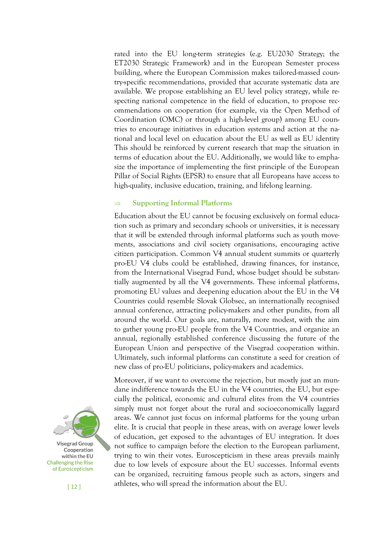rated into the EU long-term strategies (e.g. EU2030 Strategy; the ET2030 Strategic Framework) and in the European Semester process building, where the European Commission makes tailored-massed country-specific recommendations, provided that accurate systematic data are available. We propose establishing an EU level policy strategy, while respecting national competence in the field of education, to propose recommendations on cooperation (for example, via the Open Method of Coordination (OMC) or through a high-level group) among EU countries to encourage initiatives in education systems and action at the national and local level on education about the EU as well as EU identity This should be reinforced by current research that map the situation in terms of education about the EU. Additionally, we would like to emphasize the importance of implementing the first principle of the European Pillar of Social Rights (EPSR) to ensure that all Europeans have access to high-quality, inclusive education, training, and lifelong learning.

# **Supporting Informal Platforms**

Education about the EU cannot be focusing exclusively on formal education such as primary and secondary schools or universities, it is necessary that it will be extended through informal platforms such as youth movements, associations and civil society organisations, encouraging active citizen participation. Common V4 annual student summits or quarterly pro-EU V4 clubs could be established, drawing finances, for instance, from the International Visegrad Fund, whose budget should be substantially augmented by all the V4 governments. These informal platforms, promoting EU values and deepening education about the EU in the V4 Countries could resemble Slovak Globsec, an internationally recognised annual conference, attracting policy-makers and other pundits, from all around the world. Our goals are, naturally, more modest, with the aim to gather young pro-EU people from the V4 Countries, and organize an annual, regionally established conference discussing the future of the European Union and perspective of the Visegrad cooperation within. Ultimately, such informal platforms can constitute a seed for creation of new class of pro-EU politicians, policy-makers and academics.

Moreover, if we want to overcome the rejection, but mostly just an mundane indifference towards the EU in the V4 countries, the EU, but especially the political, economic and cultural elites from the V4 countries simply must not forget about the rural and socioeconomically laggard areas. We cannot just focus on informal platforms for the young urban elite. It is crucial that people in these areas, with on average lower levels of education, get exposed to the advantages of EU integration. It does not suffice to campaign before the election to the European parliament, trying to win their votes. Euroscepticism in these areas prevails mainly due to low levels of exposure about the EU successes. Informal events can be organized, recruiting famous people such as actors, singers and athletes, who will spread the information about the EU.



[ 12 ]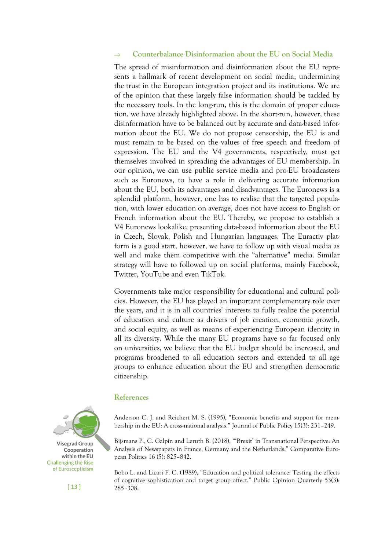### **Counterbalance Disinformation about the EU on Social Media**

The spread of misinformation and disinformation about the EU represents a hallmark of recent development on social media, undermining the trust in the European integration project and its institutions. We are of the opinion that these largely false information should be tackled by the necessary tools. In the long-run, this is the domain of proper education, we have already highlighted above. In the short-run, however, these disinformation have to be balanced out by accurate and data-based information about the EU. We do not propose censorship, the EU is and must remain to be based on the values of free speech and freedom of expression. The EU and the V4 governments, respectively, must get themselves involved in spreading the advantages of EU membership. In our opinion, we can use public service media and pro-EU broadcasters such as Euronews, to have a role in delivering accurate information about the EU, both its advantages and disadvantages. The Euronews is a splendid platform, however, one has to realise that the targeted population, with lower education on average, does not have access to English or French information about the EU. Thereby, we propose to establish a V4 Euronews lookalike, presenting data-based information about the EU in Czech, Slovak, Polish and Hungarian languages. The Euractiv platform is a good start, however, we have to follow up with visual media as well and make them competitive with the "alternative" media. Similar strategy will have to followed up on social platforms, mainly Facebook, Twitter, YouTube and even TikTok.

Governments take major responsibility for educational and cultural policies. However, the EU has played an important complementary role over the years, and it is in all countries' interests to fully realize the potential of education and culture as drivers of job creation, economic growth, and social equity, as well as means of experiencing European identity in all its diversity. While the many EU programs have so far focused only on universities, we believe that the EU budget should be increased, and programs broadened to all education sectors and extended to all age groups to enhance education about the EU and strengthen democratic citizenship.

#### **References**



Bijsmans P., C. Galpin and Leruth B. (2018), "'Brexit' in Transnational Perspective: An Analysis of Newspapers in France, Germany and the Netherlands." Comparative European Politics 16 (5): 825–842.

Bobo L. and Licari F. C. (1989), "Education and political tolerance: Testing the effects of cognitive sophistication and target group affect." Public Opinion Quarterly 53(3): 285–308.



 $[13]$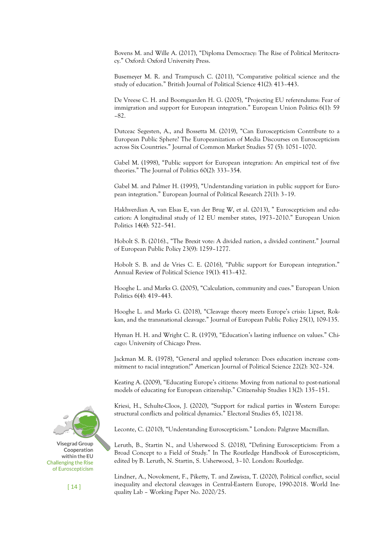Bovens M. and Wille A. (2017), "Diploma Democracy: The Rise of Political Meritocracy." Oxford: Oxford University Press.

Busemeyer M. R. and Trampusch C. (2011), "Comparative political science and the study of education." British Journal of Political Science 41(2): 413–443.

De Vreese C. H. and Boomgaarden H. G. (2005), "Projecting EU referendums: Fear of immigration and support for European integration." European Union Politics 6(1): 59 –82.

Dutceac Segesten, A., and Bossetta M. (2019), "Can Euroscepticism Contribute to a European Public Sphere? The Europeanization of Media Discourses on Euroscepticism across Six Countries." Journal of Common Market Studies 57 (5): 1051–1070.

Gabel M. (1998), "Public support for European integration: An empirical test of five theories." The Journal of Politics 60(2): 333–354.

Gabel M. and Palmer H. (1995), "Understanding variation in public support for European integration." European Journal of Political Research 27(1): 3–19.

Hakhverdian A, van Elsas E, van der Brug W, et al. (2013), " Euroscepticism and education: A longitudinal study of 12 EU member states, 1973–2010." European Union Politics 14(4): 522–541.

Hobolt S. B. (2016)., "The Brexit vote: A divided nation, a divided continent." Journal of European Public Policy 23(9): 1259–1277.

Hobolt S. B. and de Vries C. E. (2016), "Public support for European integration." Annual Review of Political Science 19(1): 413–432.

Hooghe L. and Marks G. (2005), "Calculation, community and cues." European Union Politics 6(4): 419–443.

Hooghe L. and Marks G. (2018), "Cleavage theory meets Europe's crisis: Lipset, Rokkan, and the transnational cleavage." Journal of European Public Policy 25(1), 109-135.

Hyman H. H. and Wright C. R. (1979), "Education's lasting influence on values." Chicago: University of Chicago Press.

Jackman M. R. (1978), "General and applied tolerance: Does education increase commitment to racial integration?" American Journal of Political Science 22(2): 302–324.

Keating A. (2009), "Educating Europe's citizens: Moving from national to post-national models of educating for European citizenship." Citizenship Studies 13(2): 135–151.

Kriesi, H., Schulte-Cloos, J. (2020), "Support for radical parties in Western Europe: structural conflicts and political dynamics." Electoral Studies 65, 102138.

Leconte, C. (2010), "Understanding Euroscepticism." London: Palgrave Macmillan.

Leruth, B., Startin N., and Usherwood S. (2018), "Defining Euroscepticism: From a Broad Concept to a Field of Study." In The Routledge Handbook of Euroscepticism, edited by B. Leruth, N. Startin, S. Usherwood, 3–10. London: Routledge.

Lindner, A., Novokment, F., Piketty, T. and Zawisza, T. (2020), Political conflict, social inequality and electoral cleavages in Central-Eastern Europe, 1990-2018. World Inequality Lab – Working Paper No. 2020/25.



 $[14]$